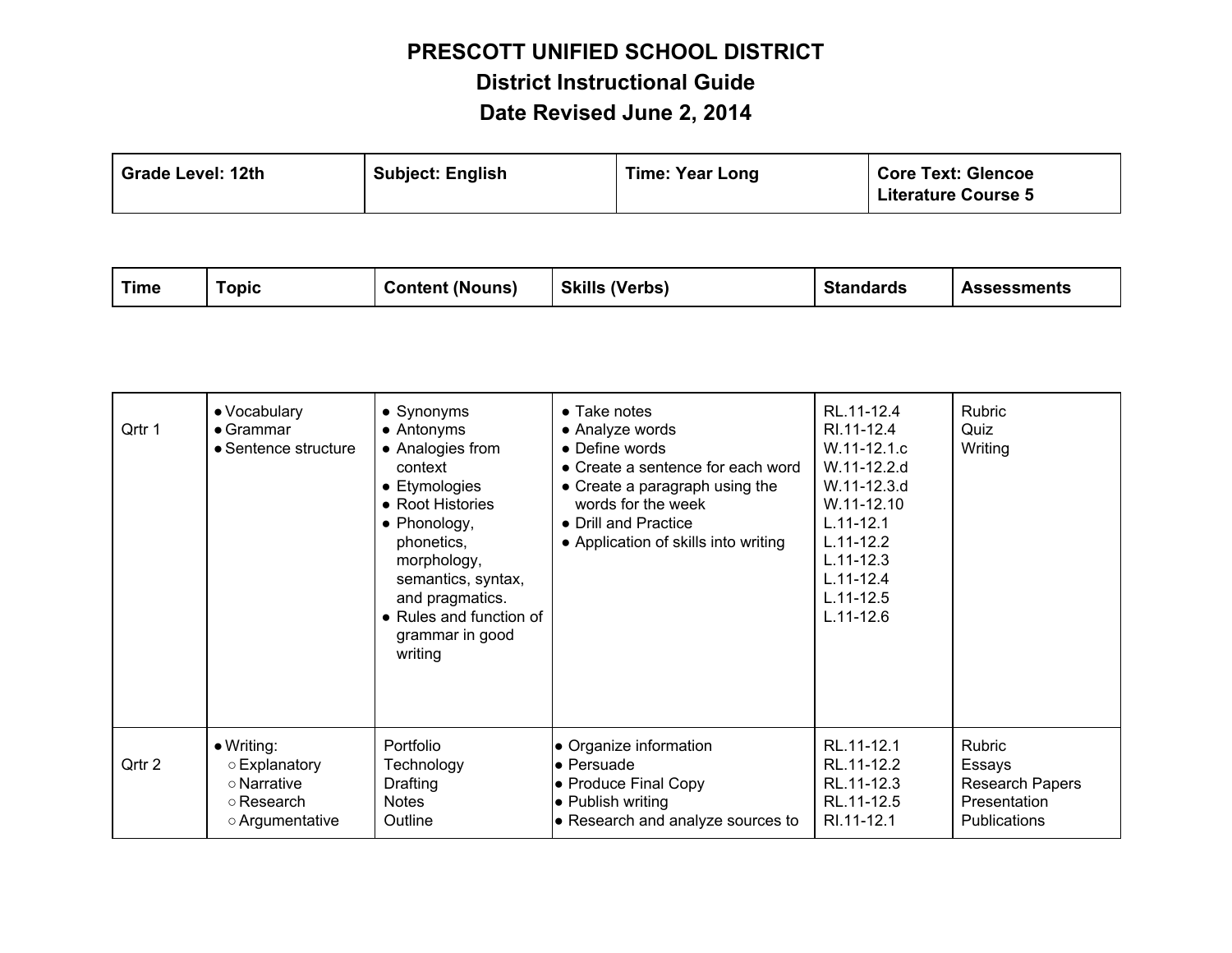| <b>Subject: English</b><br><b>Grade Level: 12th</b> | <b>Time: Year Long</b> | <b>Core Text: Glencoe</b><br><b>Literature Course 5</b> |
|-----------------------------------------------------|------------------------|---------------------------------------------------------|
|-----------------------------------------------------|------------------------|---------------------------------------------------------|

| <b>Time</b> | <b>Topic</b>                                                                        | <b>Content (Nouns)</b>                                                                                                                                                                                                                      | <b>Skills (Verbs)</b>                                                                                                                                                                                                  | <b>Standards</b>                                                                                                                                                                          | <b>Assessments</b>                                                         |
|-------------|-------------------------------------------------------------------------------------|---------------------------------------------------------------------------------------------------------------------------------------------------------------------------------------------------------------------------------------------|------------------------------------------------------------------------------------------------------------------------------------------------------------------------------------------------------------------------|-------------------------------------------------------------------------------------------------------------------------------------------------------------------------------------------|----------------------------------------------------------------------------|
| Qrtr 1      | • Vocabulary<br>$\bullet$ Grammar<br>• Sentence structure                           | • Synonyms<br>• Antonyms<br>• Analogies from<br>context<br>• Etymologies<br>• Root Histories<br>• Phonology,<br>phonetics,<br>morphology,<br>semantics, syntax,<br>and pragmatics.<br>• Rules and function of<br>grammar in good<br>writing | $\bullet$ Take notes<br>• Analyze words<br>• Define words<br>• Create a sentence for each word<br>• Create a paragraph using the<br>words for the week<br>• Drill and Practice<br>• Application of skills into writing | RL.11-12.4<br>RI.11-12.4<br>W.11-12.1.c<br>W.11-12.2.d<br>W.11-12.3.d<br>W.11-12.10<br>$L.11 - 12.1$<br>$L.11 - 12.2$<br>$L.11 - 12.3$<br>$L.11 - 12.4$<br>$L.11 - 12.5$<br>$L.11 - 12.6$ | Rubric<br>Quiz<br>Writing                                                  |
| Qrtr 2      | $\bullet$ Writing:<br>○ Explanatory<br>o Narrative<br>○ Research<br>o Argumentative | Portfolio<br>Technology<br>Drafting<br><b>Notes</b><br>Outline                                                                                                                                                                              | • Organize information<br>• Persuade<br>• Produce Final Copy<br>• Publish writing<br>• Research and analyze sources to                                                                                                 | RL.11-12.1<br>RL.11-12.2<br>RL.11-12.3<br>RL.11-12.5<br>RI.11-12.1                                                                                                                        | Rubric<br>Essays<br>Research Papers<br>Presentation<br><b>Publications</b> |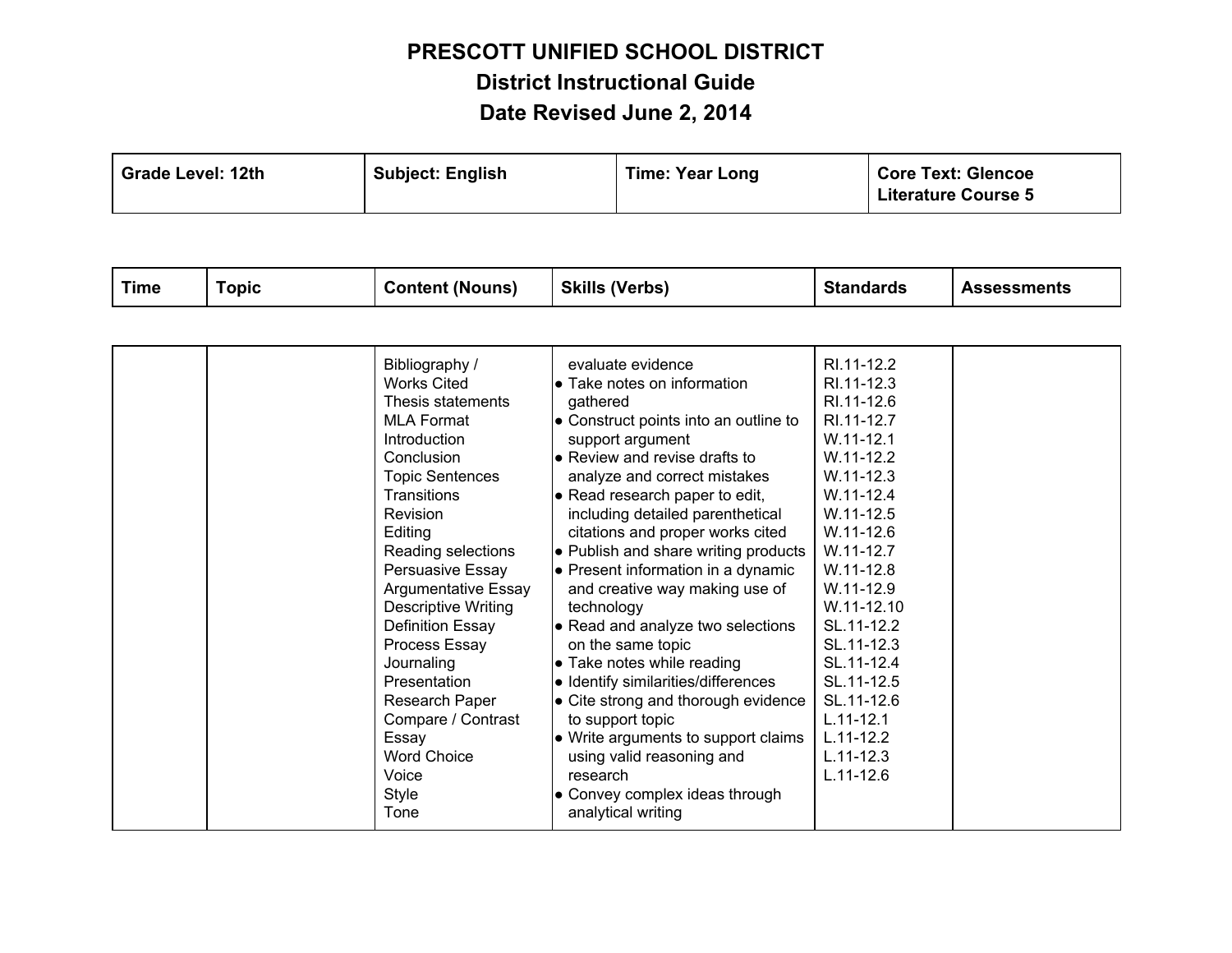| Grade Level: 12th | <b>Subject: English</b> | <b>Time: Year Long</b> | <b>Core Text: Glencoe</b><br><b>Literature Course 5</b> |
|-------------------|-------------------------|------------------------|---------------------------------------------------------|
|-------------------|-------------------------|------------------------|---------------------------------------------------------|

| <b>Time</b> | <b>Topic</b> | <b>Content (Nouns)</b>                                                                                                                                                                                                                                                                                                                                                                                                                                                             | <b>Skills (Verbs)</b>                                                                                                                                                                                                                                                                                                                                                                                                                                                                                                                                                                                                                                                                                                                                                        | <b>Standards</b>                                                                                                                                                                                                                                                                                                                                                  | <b>Assessments</b> |
|-------------|--------------|------------------------------------------------------------------------------------------------------------------------------------------------------------------------------------------------------------------------------------------------------------------------------------------------------------------------------------------------------------------------------------------------------------------------------------------------------------------------------------|------------------------------------------------------------------------------------------------------------------------------------------------------------------------------------------------------------------------------------------------------------------------------------------------------------------------------------------------------------------------------------------------------------------------------------------------------------------------------------------------------------------------------------------------------------------------------------------------------------------------------------------------------------------------------------------------------------------------------------------------------------------------------|-------------------------------------------------------------------------------------------------------------------------------------------------------------------------------------------------------------------------------------------------------------------------------------------------------------------------------------------------------------------|--------------------|
|             |              |                                                                                                                                                                                                                                                                                                                                                                                                                                                                                    |                                                                                                                                                                                                                                                                                                                                                                                                                                                                                                                                                                                                                                                                                                                                                                              |                                                                                                                                                                                                                                                                                                                                                                   |                    |
|             |              | Bibliography /<br><b>Works Cited</b><br>Thesis statements<br><b>MLA Format</b><br>Introduction<br>Conclusion<br><b>Topic Sentences</b><br><b>Transitions</b><br><b>Revision</b><br>Editing<br>Reading selections<br>Persuasive Essay<br><b>Argumentative Essay</b><br><b>Descriptive Writing</b><br><b>Definition Essay</b><br>Process Essay<br>Journaling<br>Presentation<br>Research Paper<br>Compare / Contrast<br>Essay<br><b>Word Choice</b><br>Voice<br><b>Style</b><br>Tone | evaluate evidence<br>• Take notes on information<br>gathered<br>• Construct points into an outline to<br>support argument<br>• Review and revise drafts to<br>analyze and correct mistakes<br>• Read research paper to edit,<br>including detailed parenthetical<br>citations and proper works cited<br>• Publish and share writing products<br>$\bullet$ Present information in a dynamic<br>and creative way making use of<br>technology<br>• Read and analyze two selections<br>on the same topic<br>• Take notes while reading<br>• Identify similarities/differences<br>• Cite strong and thorough evidence<br>to support topic<br>• Write arguments to support claims<br>using valid reasoning and<br>research<br>• Convey complex ideas through<br>analytical writing | RI.11-12.2<br>RI.11-12.3<br>RI.11-12.6<br>RI.11-12.7<br>$W.11 - 12.1$<br>$W.11 - 12.2$<br>$W.11 - 12.3$<br>$W.11 - 12.4$<br>$W.11 - 12.5$<br>$W.11 - 12.6$<br>W.11-12.7<br>$W.11 - 12.8$<br>$W.11 - 12.9$<br>W.11-12.10<br>SL.11-12.2<br>SL.11-12.3<br>SL.11-12.4<br>SL.11-12.5<br>SL.11-12.6<br>$L.11 - 12.1$<br>$L.11 - 12.2$<br>$L.11 - 12.3$<br>$L.11 - 12.6$ |                    |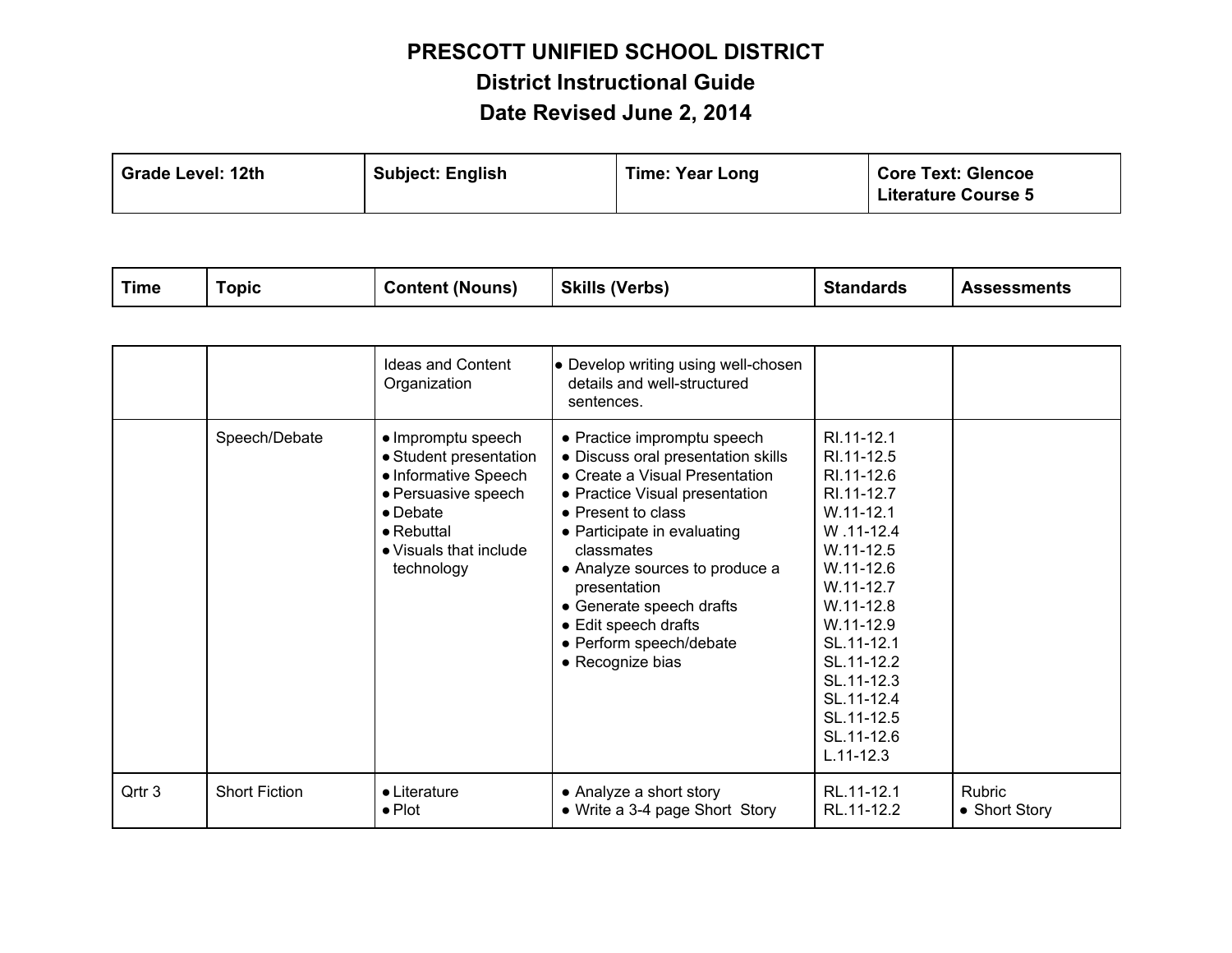| <b>Grade Level: 12th</b> | <b>Subject: English</b> | <b>Time: Year Long</b> | <b>Core Text: Glencoe</b><br><b>Literature Course 5</b> |
|--------------------------|-------------------------|------------------------|---------------------------------------------------------|
|--------------------------|-------------------------|------------------------|---------------------------------------------------------|

| <b>Time</b> | `opic | <b>Content (Nouns)</b> | (Verbs)<br><b>Skills</b> | <b>Standards</b> | <b>Assessments</b> |
|-------------|-------|------------------------|--------------------------|------------------|--------------------|
|-------------|-------|------------------------|--------------------------|------------------|--------------------|

|        |                      | <b>Ideas and Content</b><br>Organization                                                                                                                                      | • Develop writing using well-chosen<br>details and well-structured<br>sentences.                                                                                                                                                                                                                                                                              |                                                                                                                                                                                                                                                                      |                         |
|--------|----------------------|-------------------------------------------------------------------------------------------------------------------------------------------------------------------------------|---------------------------------------------------------------------------------------------------------------------------------------------------------------------------------------------------------------------------------------------------------------------------------------------------------------------------------------------------------------|----------------------------------------------------------------------------------------------------------------------------------------------------------------------------------------------------------------------------------------------------------------------|-------------------------|
|        | Speech/Debate        | • Impromptu speech<br>• Student presentation<br>• Informative Speech<br>• Persuasive speech<br>$\bullet$ Debate<br>$\bullet$ Rebuttal<br>• Visuals that include<br>technology | • Practice impromptu speech<br>• Discuss oral presentation skills<br>• Create a Visual Presentation<br>• Practice Visual presentation<br>• Present to class<br>• Participate in evaluating<br>classmates<br>• Analyze sources to produce a<br>presentation<br>• Generate speech drafts<br>• Edit speech drafts<br>• Perform speech/debate<br>• Recognize bias | RI 11-12.1<br>RI.11-12.5<br>RI.11-12.6<br>RI.11-12.7<br>$W.11 - 12.1$<br>W.11-12.4<br>$W.11-12.5$<br>W.11-12.6<br>$W.11-12.7$<br>$W.11 - 12.8$<br>$W.11 - 12.9$<br>SL.11-12.1<br>SL.11-12.2<br>SL.11-12.3<br>SL.11-12.4<br>SL.11-12.5<br>SL.11-12.6<br>$L.11 - 12.3$ |                         |
| Qrtr 3 | <b>Short Fiction</b> | • Literature<br>$\bullet$ Plot                                                                                                                                                | • Analyze a short story<br>• Write a 3-4 page Short Story                                                                                                                                                                                                                                                                                                     | RL.11-12.1<br>RL.11-12.2                                                                                                                                                                                                                                             | Rubric<br>• Short Story |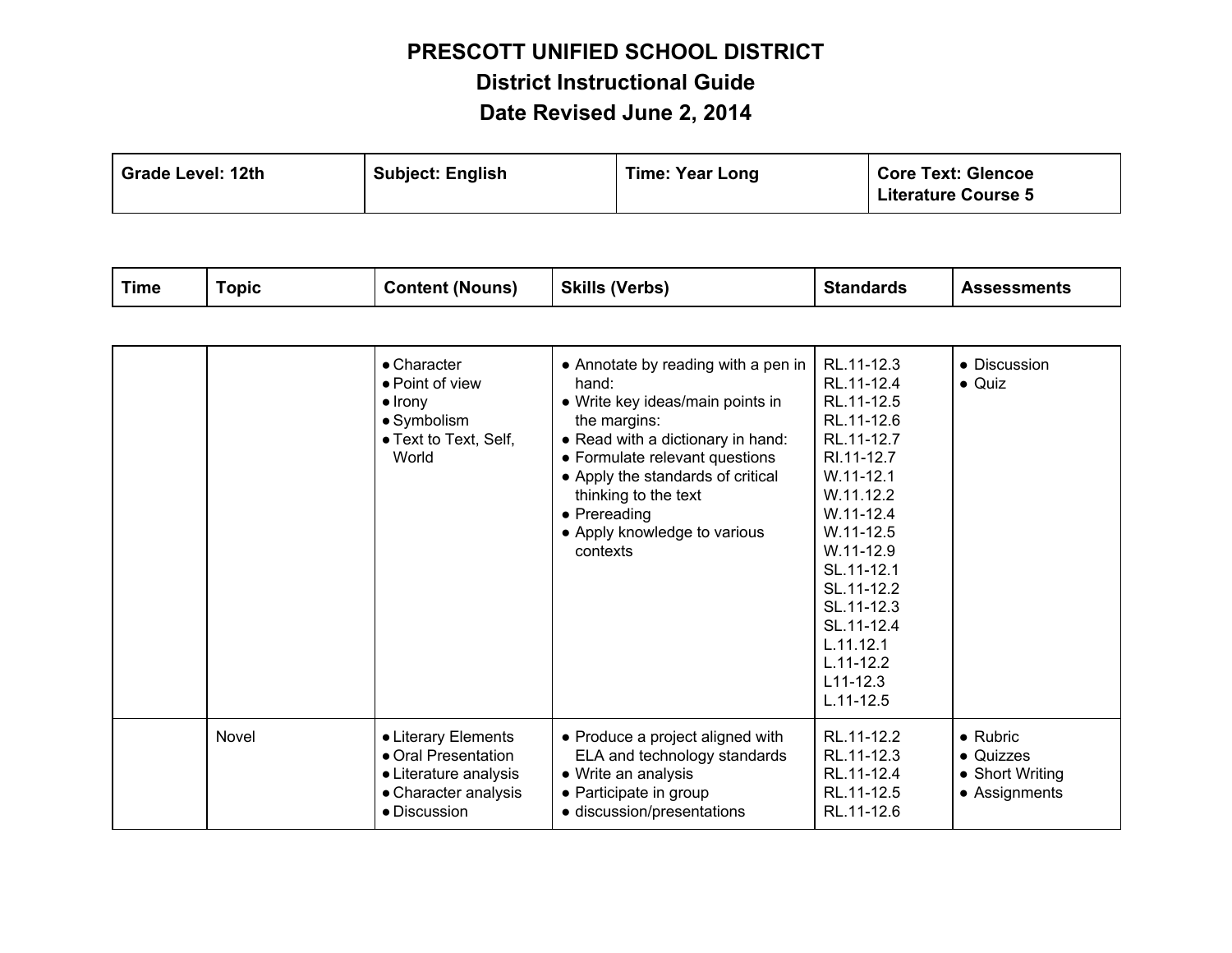| <b>Subject: English</b><br><b>Grade Level: 12th</b> | <b>Time: Year Long</b> | <b>Core Text: Glencoe</b><br><b>Literature Course 5</b> |
|-----------------------------------------------------|------------------------|---------------------------------------------------------|
|-----------------------------------------------------|------------------------|---------------------------------------------------------|

| <b>Time</b> | <b>Topic</b> | <b>Content (Nouns)</b>                                                                                      | <b>Skills (Verbs)</b>                                                                                                                                                                                                                                                                            | <b>Standards</b>                                                                                                                                                                                                                                                                         | <b>Assessments</b>                                                |
|-------------|--------------|-------------------------------------------------------------------------------------------------------------|--------------------------------------------------------------------------------------------------------------------------------------------------------------------------------------------------------------------------------------------------------------------------------------------------|------------------------------------------------------------------------------------------------------------------------------------------------------------------------------------------------------------------------------------------------------------------------------------------|-------------------------------------------------------------------|
|             |              |                                                                                                             |                                                                                                                                                                                                                                                                                                  |                                                                                                                                                                                                                                                                                          |                                                                   |
|             |              | • Character<br>• Point of view<br>$\bullet$ Irony<br>• Symbolism<br>• Text to Text, Self,<br>World          | • Annotate by reading with a pen in<br>hand:<br>• Write key ideas/main points in<br>the margins:<br>• Read with a dictionary in hand:<br>• Formulate relevant questions<br>• Apply the standards of critical<br>thinking to the text<br>• Prereading<br>• Apply knowledge to various<br>contexts | RL.11-12.3<br>RL.11-12.4<br>RL.11-12.5<br>RL.11-12.6<br>RL.11-12.7<br>RI.11-12.7<br>$W.11 - 12.1$<br>W.11.12.2<br>$W.11 - 12.4$<br>$W.11 - 12.5$<br>$W.11 - 12.9$<br>SL.11-12.1<br>SL.11-12.2<br>SL.11-12.3<br>SL.11-12.4<br>L.11.12.1<br>$L.11 - 12.2$<br>$L11 - 12.3$<br>$L.11 - 12.5$ | • Discussion<br>$\bullet$ Quiz                                    |
|             | Novel        | • Literary Elements<br>• Oral Presentation<br>• Literature analysis<br>• Character analysis<br>· Discussion | • Produce a project aligned with<br>ELA and technology standards<br>• Write an analysis<br>• Participate in group<br>· discussion/presentations                                                                                                                                                  | RL.11-12.2<br>RL.11-12.3<br>RL.11-12.4<br>RL.11-12.5<br>RL.11-12.6                                                                                                                                                                                                                       | $\bullet$ Rubric<br>• Quizzes<br>• Short Writing<br>• Assignments |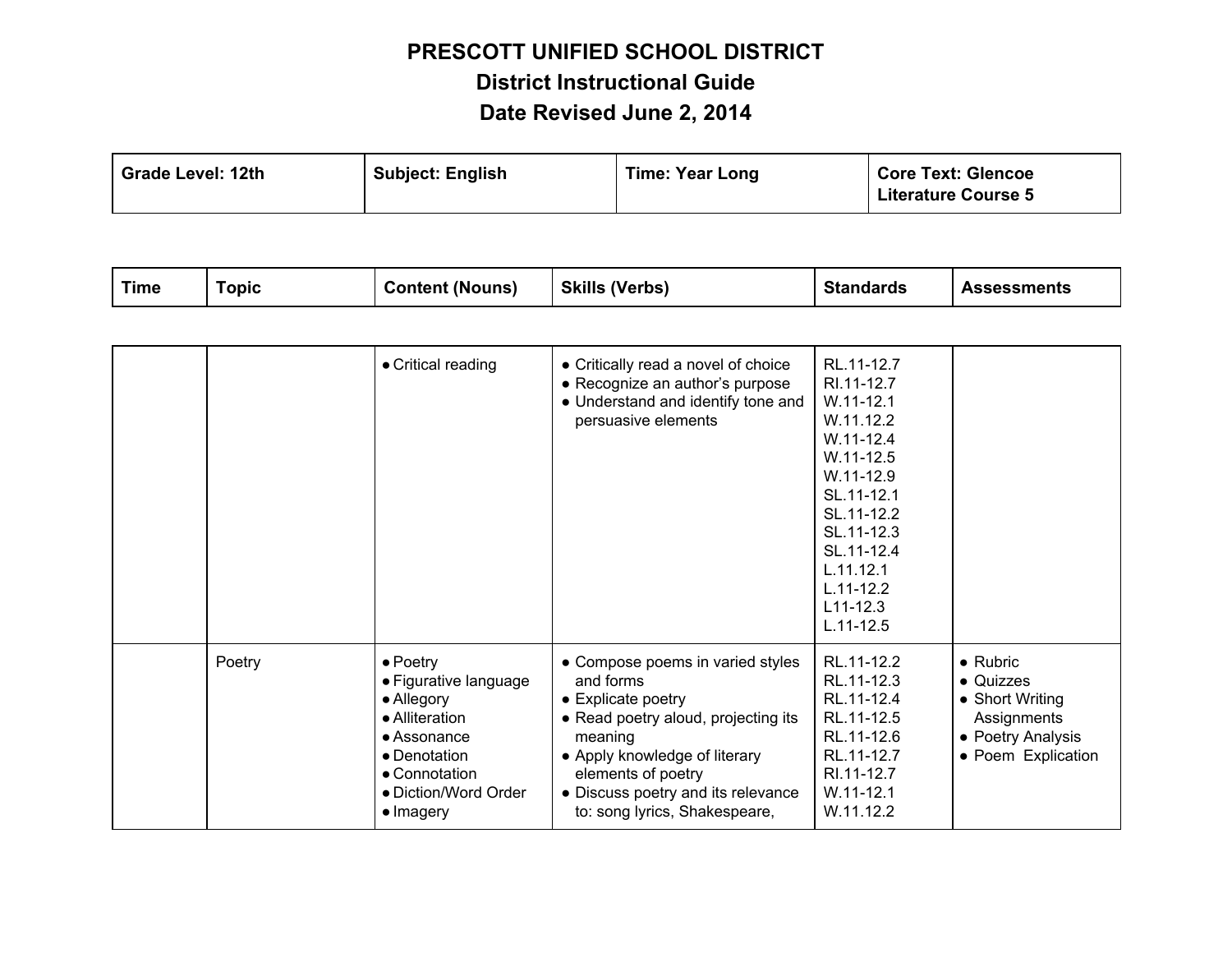| <b>Grade Level: 12th</b><br><b>Subject: English</b> | <b>Time: Year Long</b> | <b>Core Text: Glencoe</b><br><b>Literature Course 5</b> |
|-----------------------------------------------------|------------------------|---------------------------------------------------------|
|-----------------------------------------------------|------------------------|---------------------------------------------------------|

|  | <b>Time</b> | `opic | <b>Content (Nouns)</b> | <b>Skills (Verbs)</b> | <b>Standards</b> | <b>Assessments</b> |
|--|-------------|-------|------------------------|-----------------------|------------------|--------------------|
|--|-------------|-------|------------------------|-----------------------|------------------|--------------------|

|        | • Critical reading                                                                                                                                             | • Critically read a novel of choice<br>• Recognize an author's purpose<br>• Understand and identify tone and<br>persuasive elements                                                                                                                 | RL.11-12.7<br>RI.11-12.7<br>$W.11 - 12.1$<br>W.11.12.2<br>$W.11 - 12.4$<br>$W.11-12.5$<br>W.11-12.9<br>SL.11-12.1<br>SL.11-12.2<br>SL.11-12.3<br>SL.11-12.4<br>L.11.12.1<br>$L.11 - 12.2$<br>$L11 - 12.3$<br>$L.11 - 12.5$ |                                                                                                            |
|--------|----------------------------------------------------------------------------------------------------------------------------------------------------------------|-----------------------------------------------------------------------------------------------------------------------------------------------------------------------------------------------------------------------------------------------------|----------------------------------------------------------------------------------------------------------------------------------------------------------------------------------------------------------------------------|------------------------------------------------------------------------------------------------------------|
| Poetry | $\bullet$ Poetry<br>• Figurative language<br>• Allegory<br>• Alliteration<br>• Assonance<br>• Denotation<br>• Connotation<br>• Diction/Word Order<br>• Imagery | • Compose poems in varied styles<br>and forms<br>• Explicate poetry<br>• Read poetry aloud, projecting its<br>meaning<br>• Apply knowledge of literary<br>elements of poetry<br>• Discuss poetry and its relevance<br>to: song lyrics, Shakespeare, | RL.11-12.2<br>RL.11-12.3<br>RL.11-12.4<br>RL.11-12.5<br>RL.11-12.6<br>RL.11-12.7<br>RI.11-12.7<br>$W.11 - 12.1$<br>W.11.12.2                                                                                               | $\bullet$ Rubric<br>• Quizzes<br>• Short Writing<br>Assignments<br>• Poetry Analysis<br>• Poem Explication |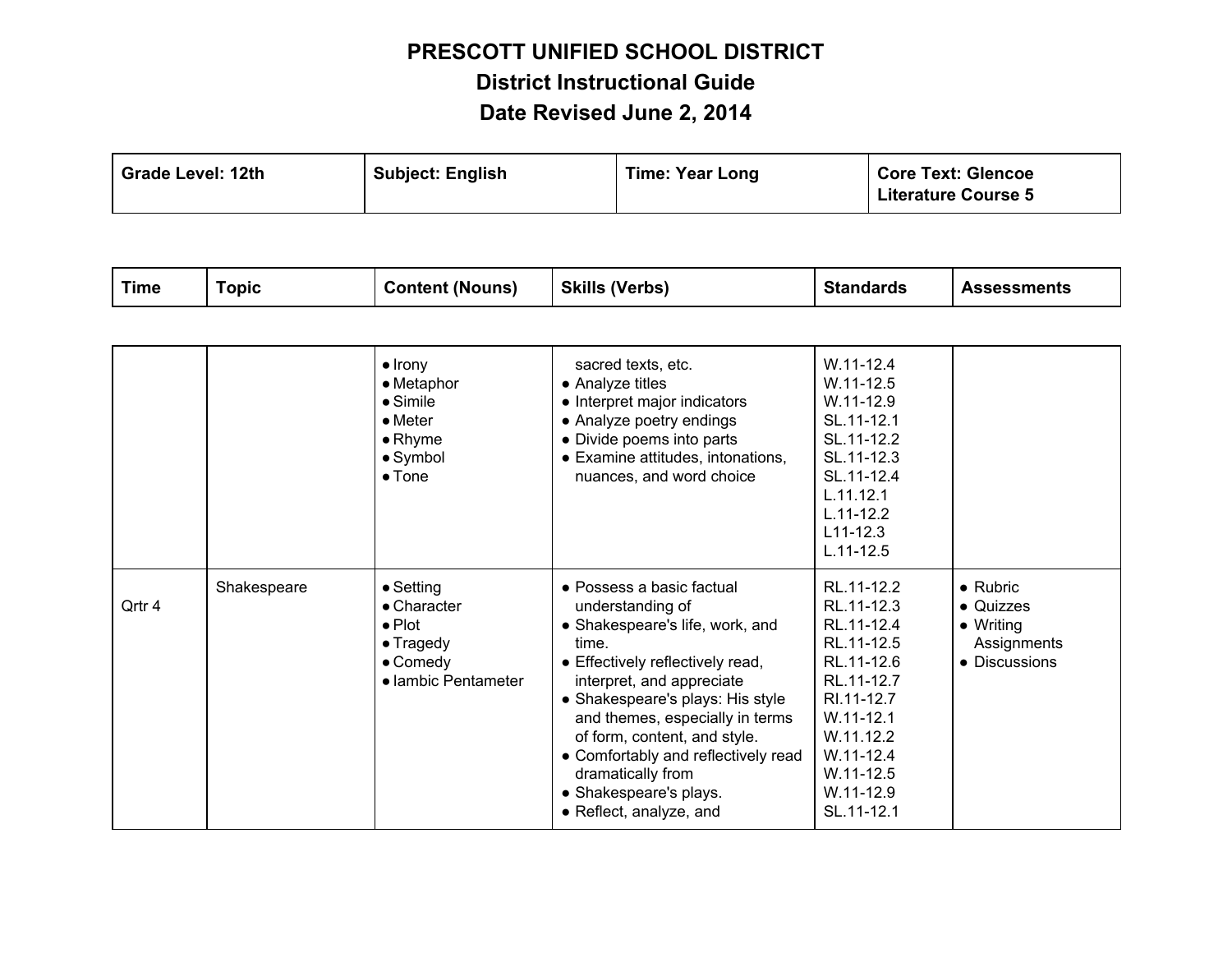| <b>Grade Level: 12th</b> | <b>Subject: English</b> | <b>Time: Year Long</b> | <b>Core Text: Glencoe</b><br><b>Literature Course 5</b> |
|--------------------------|-------------------------|------------------------|---------------------------------------------------------|
|--------------------------|-------------------------|------------------------|---------------------------------------------------------|

| <b>Time</b> | <b>Topic</b> | <b>Content (Nouns)</b>                                                                                                | <b>Skills (Verbs)</b>                                                                                                                                                                                                                                                                                                                                                              | <b>Standards</b>                                                                                                                                                                          | <b>Assessments</b>                                                                 |
|-------------|--------------|-----------------------------------------------------------------------------------------------------------------------|------------------------------------------------------------------------------------------------------------------------------------------------------------------------------------------------------------------------------------------------------------------------------------------------------------------------------------------------------------------------------------|-------------------------------------------------------------------------------------------------------------------------------------------------------------------------------------------|------------------------------------------------------------------------------------|
|             |              |                                                                                                                       |                                                                                                                                                                                                                                                                                                                                                                                    |                                                                                                                                                                                           |                                                                                    |
|             |              | $\bullet$ Irony<br>• Metaphor<br>$\bullet$ Simile<br>$\bullet$ Meter<br>$\bullet$ Rhyme<br>• Symbol<br>$\bullet$ Tone | sacred texts, etc.<br>• Analyze titles<br>• Interpret major indicators<br>• Analyze poetry endings<br>• Divide poems into parts<br>• Examine attitudes, intonations,<br>nuances, and word choice                                                                                                                                                                                   | $W.11 - 12.4$<br>$W.11 - 12.5$<br>$W.11 - 12.9$<br>SL.11-12.1<br>SL.11-12.2<br>SL.11-12.3<br>SL.11-12.4<br>L.11.12.1<br>$L.11 - 12.2$<br>$L11 - 12.3$<br>$L.11 - 12.5$                    |                                                                                    |
| Qrtr 4      | Shakespeare  | • Setting<br>• Character<br>$\bullet$ Plot<br>• Tragedy<br>$\bullet$ Comedy<br>• lambic Pentameter                    | • Possess a basic factual<br>understanding of<br>• Shakespeare's life, work, and<br>time.<br>• Effectively reflectively read,<br>interpret, and appreciate<br>• Shakespeare's plays: His style<br>and themes, especially in terms<br>of form, content, and style.<br>• Comfortably and reflectively read<br>dramatically from<br>• Shakespeare's plays.<br>• Reflect, analyze, and | RL.11-12.2<br>RL.11-12.3<br>RL.11-12.4<br>RL.11-12.5<br>RL.11-12.6<br>RL.11-12.7<br>RI.11-12.7<br>$W.11 - 12.1$<br>W.11.12.2<br>$W.11 - 12.4$<br>$W.11 - 12.5$<br>W.11-12.9<br>SL.11-12.1 | $\bullet$ Rubric<br>• Quizzes<br>$\bullet$ Writing<br>Assignments<br>• Discussions |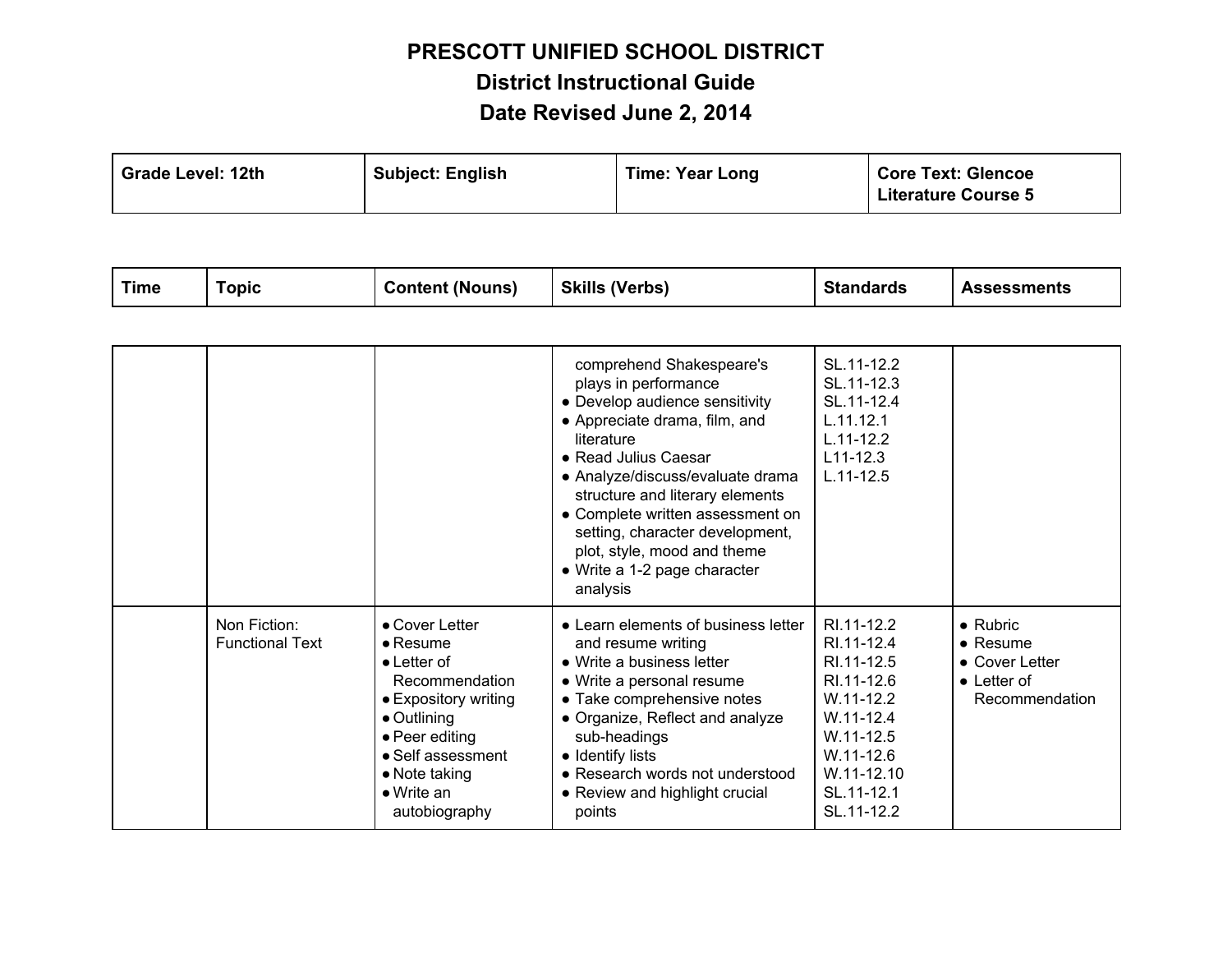| <b>Grade Level: 12th</b> | <b>Subject: English</b> | <b>Time: Year Long</b> | <b>Core Text: Glencoe</b><br><b>Literature Course 5</b> |
|--------------------------|-------------------------|------------------------|---------------------------------------------------------|
|--------------------------|-------------------------|------------------------|---------------------------------------------------------|

|  |  | Time | Topic | <b>Content (Nouns)</b> | <b>Skills (Verbs)</b> | <b>Standards</b> | <b>Assessments</b> |
|--|--|------|-------|------------------------|-----------------------|------------------|--------------------|
|--|--|------|-------|------------------------|-----------------------|------------------|--------------------|

|                                        |                                                                                                                                                                                                                           | comprehend Shakespeare's<br>plays in performance<br>• Develop audience sensitivity<br>• Appreciate drama, film, and<br>literature<br>• Read Julius Caesar<br>• Analyze/discuss/evaluate drama<br>structure and literary elements<br>• Complete written assessment on<br>setting, character development,<br>plot, style, mood and theme<br>• Write a 1-2 page character<br>analysis | SL.11-12.2<br>SL.11-12.3<br>SL.11-12.4<br>L.11.12.1<br>$L.11 - 12.2$<br>$L11 - 12.3$<br>$L.11 - 12.5$                                                            |                                                                                                         |
|----------------------------------------|---------------------------------------------------------------------------------------------------------------------------------------------------------------------------------------------------------------------------|------------------------------------------------------------------------------------------------------------------------------------------------------------------------------------------------------------------------------------------------------------------------------------------------------------------------------------------------------------------------------------|------------------------------------------------------------------------------------------------------------------------------------------------------------------|---------------------------------------------------------------------------------------------------------|
| Non Fiction:<br><b>Functional Text</b> | • Cover Letter<br>$\bullet$ Resume<br>$\bullet$ Letter of<br>Recommendation<br>• Expository writing<br>$\bullet$ Outlining<br>• Peer editing<br>• Self assessment<br>• Note taking<br>$\bullet$ Write an<br>autobiography | • Learn elements of business letter<br>and resume writing<br>• Write a business letter<br>• Write a personal resume<br>• Take comprehensive notes<br>• Organize, Reflect and analyze<br>sub-headings<br>• Identify lists<br>• Research words not understood<br>• Review and highlight crucial<br>points                                                                            | RI 11-12.2<br>RI.11-12.4<br>RI.11-12.5<br>RI.11-12.6<br>$W.11-12.2$<br>$W.11 - 12.4$<br>$W.11 - 12.5$<br>$W.11 - 12.6$<br>W.11-12.10<br>SL.11-12.1<br>SL.11-12.2 | $\bullet$ Rubric<br>$\bullet$ Resume<br>$\bullet$ Cover Letter<br>$\bullet$ Letter of<br>Recommendation |